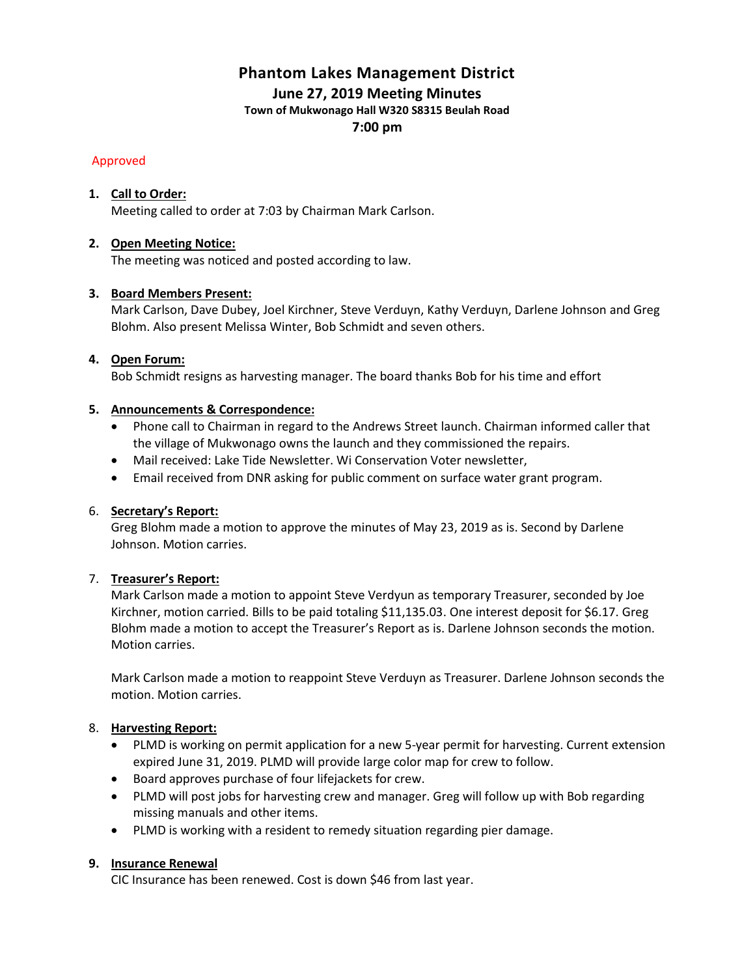## **Phantom Lakes Management District**

**June 27, 2019 Meeting Minutes**

**Town of Mukwonago Hall W320 S8315 Beulah Road**

**7:00 pm**

## Approved

## **1. Call to Order:**

Meeting called to order at 7:03 by Chairman Mark Carlson.

## **2. Open Meeting Notice:**

The meeting was noticed and posted according to law.

## **3. Board Members Present:**

Mark Carlson, Dave Dubey, Joel Kirchner, Steve Verduyn, Kathy Verduyn, Darlene Johnson and Greg Blohm. Also present Melissa Winter, Bob Schmidt and seven others.

## **4. Open Forum:**

Bob Schmidt resigns as harvesting manager. The board thanks Bob for his time and effort

## **5. Announcements & Correspondence:**

- Phone call to Chairman in regard to the Andrews Street launch. Chairman informed caller that the village of Mukwonago owns the launch and they commissioned the repairs.
- Mail received: Lake Tide Newsletter. Wi Conservation Voter newsletter,
- Email received from DNR asking for public comment on surface water grant program.

## 6. **Secretary's Report:**

Greg Blohm made a motion to approve the minutes of May 23, 2019 as is. Second by Darlene Johnson. Motion carries.

## 7. **Treasurer's Report:**

Mark Carlson made a motion to appoint Steve Verdyun as temporary Treasurer, seconded by Joe Kirchner, motion carried. Bills to be paid totaling \$11,135.03. One interest deposit for \$6.17. Greg Blohm made a motion to accept the Treasurer's Report as is. Darlene Johnson seconds the motion. Motion carries.

Mark Carlson made a motion to reappoint Steve Verduyn as Treasurer. Darlene Johnson seconds the motion. Motion carries.

## 8. **Harvesting Report:**

- PLMD is working on permit application for a new 5-year permit for harvesting. Current extension expired June 31, 2019. PLMD will provide large color map for crew to follow.
- Board approves purchase of four lifejackets for crew.
- PLMD will post jobs for harvesting crew and manager. Greg will follow up with Bob regarding missing manuals and other items.
- PLMD is working with a resident to remedy situation regarding pier damage.

## **9. Insurance Renewal**

CIC Insurance has been renewed. Cost is down \$46 from last year.